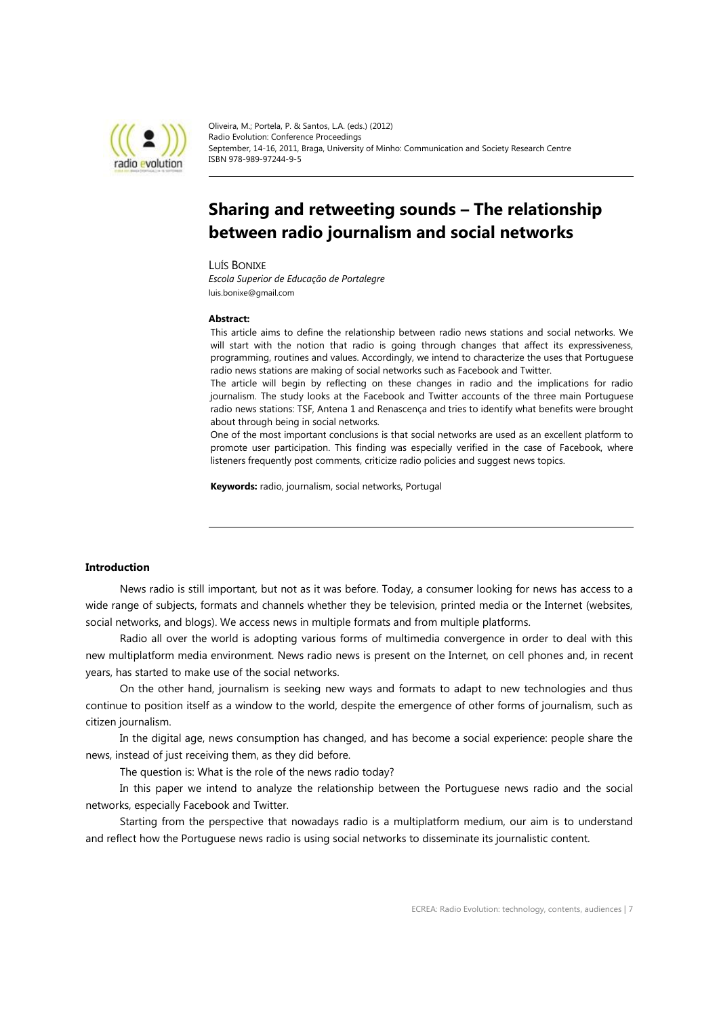

Oliveira, M.; Portela, P. & Santos, L.A. (eds.) (2012) Radio Evolution: Conference Proceedings September, 14-16, 2011, Braga, University of Minho: Communication and Society Research Centre ISBN 978-989-97244-9-5

# **Sharing and retweeting sounds – The relationship between radio journalism and social networks**

LUÍS BONIXE

*Escola Superior de Educação de Portalegre* luis.bonixe@gmail.com

#### **Abstract:**

This article aims to define the relationship between radio news stations and social networks. We will start with the notion that radio is going through changes that affect its expressiveness, programming, routines and values. Accordingly, we intend to characterize the uses that Portuguese radio news stations are making of social networks such as Facebook and Twitter.

The article will begin by reflecting on these changes in radio and the implications for radio journalism. The study looks at the Facebook and Twitter accounts of the three main Portuguese radio news stations: TSF, Antena 1 and Renascença and tries to identify what benefits were brought about through being in social networks.

One of the most important conclusions is that social networks are used as an excellent platform to promote user participation. This finding was especially verified in the case of Facebook, where listeners frequently post comments, criticize radio policies and suggest news topics.

**Keywords:** radio, journalism, social networks, Portugal

# **Introduction**

News radio is still important, but not as it was before. Today, a consumer looking for news has access to a wide range of subjects, formats and channels whether they be television, printed media or the Internet (websites, social networks, and blogs). We access news in multiple formats and from multiple platforms.

Radio all over the world is adopting various forms of multimedia convergence in order to deal with this new multiplatform media environment. News radio news is present on the Internet, on cell phones and, in recent years, has started to make use of the social networks.

On the other hand, journalism is seeking new ways and formats to adapt to new technologies and thus continue to position itself as a window to the world, despite the emergence of other forms of journalism, such as citizen journalism.

In the digital age, news consumption has changed, and has become a social experience: people share the news, instead of just receiving them, as they did before.

The question is: What is the role of the news radio today?

In this paper we intend to analyze the relationship between the Portuguese news radio and the social networks, especially Facebook and Twitter.

Starting from the perspective that nowadays radio is a multiplatform medium, our aim is to understand and reflect how the Portuguese news radio is using social networks to disseminate its journalistic content.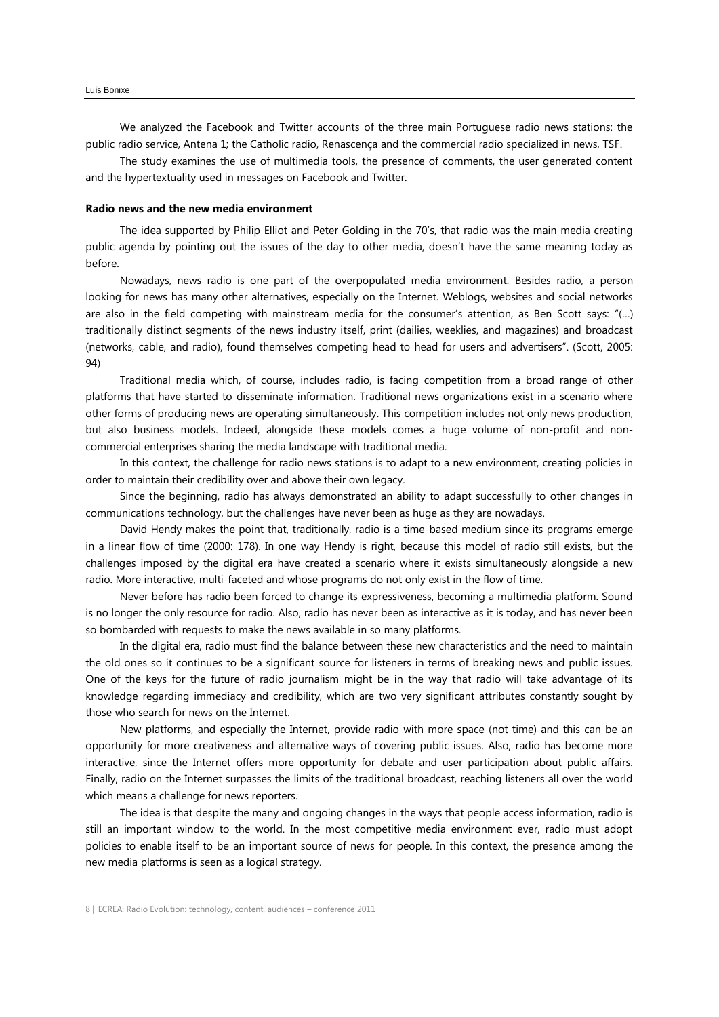We analyzed the Facebook and Twitter accounts of the three main Portuguese radio news stations: the public radio service, Antena 1; the Catholic radio, Renascença and the commercial radio specialized in news, TSF.

The study examines the use of multimedia tools, the presence of comments, the user generated content and the hypertextuality used in messages on Facebook and Twitter.

#### **Radio news and the new media environment**

The idea supported by Philip Elliot and Peter Golding in the 70's, that radio was the main media creating public agenda by pointing out the issues of the day to other media, doesn't have the same meaning today as before.

Nowadays, news radio is one part of the overpopulated media environment. Besides radio, a person looking for news has many other alternatives, especially on the Internet. Weblogs, websites and social networks are also in the field competing with mainstream media for the consumer's attention, as Ben Scott says: "(…) traditionally distinct segments of the news industry itself, print (dailies, weeklies, and magazines) and broadcast (networks, cable, and radio), found themselves competing head to head for users and advertisers". (Scott, 2005: 94)

Traditional media which, of course, includes radio, is facing competition from a broad range of other platforms that have started to disseminate information. Traditional news organizations exist in a scenario where other forms of producing news are operating simultaneously. This competition includes not only news production, but also business models. Indeed, alongside these models comes a huge volume of non-profit and noncommercial enterprises sharing the media landscape with traditional media.

In this context, the challenge for radio news stations is to adapt to a new environment, creating policies in order to maintain their credibility over and above their own legacy.

Since the beginning, radio has always demonstrated an ability to adapt successfully to other changes in communications technology, but the challenges have never been as huge as they are nowadays.

David Hendy makes the point that, traditionally, radio is a time-based medium since its programs emerge in a linear flow of time (2000: 178). In one way Hendy is right, because this model of radio still exists, but the challenges imposed by the digital era have created a scenario where it exists simultaneously alongside a new radio. More interactive, multi-faceted and whose programs do not only exist in the flow of time.

Never before has radio been forced to change its expressiveness, becoming a multimedia platform. Sound is no longer the only resource for radio. Also, radio has never been as interactive as it is today, and has never been so bombarded with requests to make the news available in so many platforms.

In the digital era, radio must find the balance between these new characteristics and the need to maintain the old ones so it continues to be a significant source for listeners in terms of breaking news and public issues. One of the keys for the future of radio journalism might be in the way that radio will take advantage of its knowledge regarding immediacy and credibility, which are two very significant attributes constantly sought by those who search for news on the Internet.

New platforms, and especially the Internet, provide radio with more space (not time) and this can be an opportunity for more creativeness and alternative ways of covering public issues. Also, radio has become more interactive, since the Internet offers more opportunity for debate and user participation about public affairs. Finally, radio on the Internet surpasses the limits of the traditional broadcast, reaching listeners all over the world which means a challenge for news reporters.

The idea is that despite the many and ongoing changes in the ways that people access information, radio is still an important window to the world. In the most competitive media environment ever, radio must adopt policies to enable itself to be an important source of news for people. In this context, the presence among the new media platforms is seen as a logical strategy.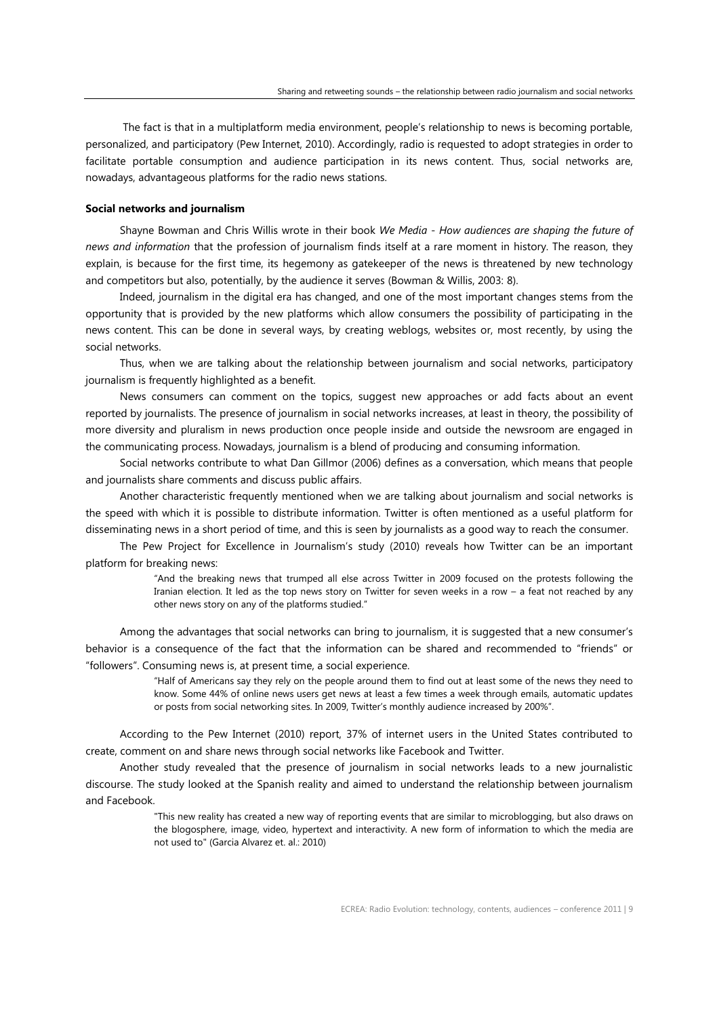The fact is that in a multiplatform media environment, people's relationship to news is becoming portable, personalized, and participatory (Pew Internet, 2010). Accordingly, radio is requested to adopt strategies in order to facilitate portable consumption and audience participation in its news content. Thus, social networks are, nowadays, advantageous platforms for the radio news stations.

## **Social networks and journalism**

Shayne Bowman and Chris Willis wrote in their book *We Media - How audiences are shaping the future of news and information* that the profession of journalism finds itself at a rare moment in history. The reason, they explain, is because for the first time, its hegemony as gatekeeper of the news is threatened by new technology and competitors but also, potentially, by the audience it serves (Bowman & Willis, 2003: 8).

Indeed, journalism in the digital era has changed, and one of the most important changes stems from the opportunity that is provided by the new platforms which allow consumers the possibility of participating in the news content. This can be done in several ways, by creating weblogs, websites or, most recently, by using the social networks.

Thus, when we are talking about the relationship between journalism and social networks, participatory journalism is frequently highlighted as a benefit.

News consumers can comment on the topics, suggest new approaches or add facts about an event reported by journalists. The presence of journalism in social networks increases, at least in theory, the possibility of more diversity and pluralism in news production once people inside and outside the newsroom are engaged in the communicating process. Nowadays, journalism is a blend of producing and consuming information.

Social networks contribute to what Dan Gillmor (2006) defines as a conversation, which means that people and journalists share comments and discuss public affairs.

Another characteristic frequently mentioned when we are talking about journalism and social networks is the speed with which it is possible to distribute information. Twitter is often mentioned as a useful platform for disseminating news in a short period of time, and this is seen by journalists as a good way to reach the consumer.

The Pew Project for Excellence in Journalism's study (2010) reveals how Twitter can be an important platform for breaking news:

> "And the breaking news that trumped all else across Twitter in 2009 focused on the protests following the Iranian election. It led as the top news story on Twitter for seven weeks in a row – a feat not reached by any other news story on any of the platforms studied."

Among the advantages that social networks can bring to journalism, it is suggested that a new consumer's behavior is a consequence of the fact that the information can be shared and recommended to "friends" or "followers". Consuming news is, at present time, a social experience.

> "Half of Americans say they rely on the people around them to find out at least some of the news they need to know. Some 44% of online news users get news at least a few times a week through emails, automatic updates or posts from social networking sites. In 2009, Twitter's monthly audience increased by 200%".

According to the Pew Internet (2010) report, 37% of internet users in the United States contributed to create, comment on and share news through social networks like Facebook and Twitter.

Another study revealed that the presence of journalism in social networks leads to a new journalistic discourse. The study looked at the Spanish reality and aimed to understand the relationship between journalism and Facebook.

> "This new reality has created a new way of reporting events that are similar to microblogging, but also draws on the blogosphere, image, video, hypertext and interactivity. A new form of information to which the media are not used to" (Garcia Alvarez et. al.: 2010)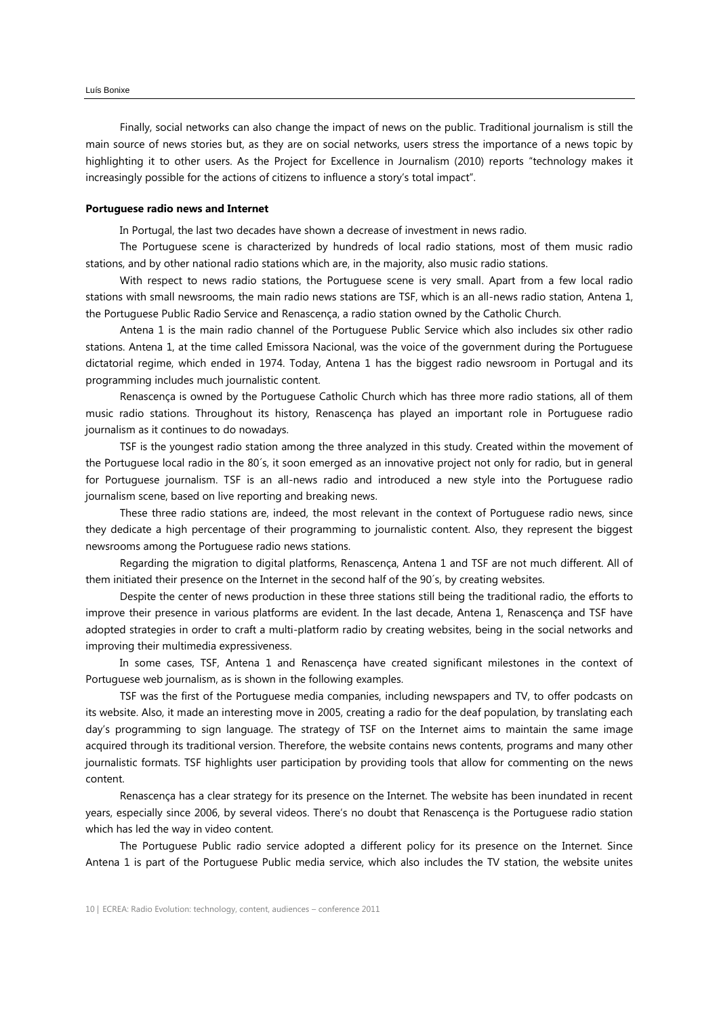Finally, social networks can also change the impact of news on the public. Traditional journalism is still the main source of news stories but, as they are on social networks, users stress the importance of a news topic by highlighting it to other users. As the Project for Excellence in Journalism (2010) reports "technology makes it increasingly possible for the actions of citizens to influence a story's total impact".

#### **Portuguese radio news and Internet**

In Portugal, the last two decades have shown a decrease of investment in news radio.

The Portuguese scene is characterized by hundreds of local radio stations, most of them music radio stations, and by other national radio stations which are, in the majority, also music radio stations.

With respect to news radio stations, the Portuguese scene is very small. Apart from a few local radio stations with small newsrooms, the main radio news stations are TSF, which is an all-news radio station, Antena 1, the Portuguese Public Radio Service and Renascença, a radio station owned by the Catholic Church.

Antena 1 is the main radio channel of the Portuguese Public Service which also includes six other radio stations. Antena 1, at the time called Emissora Nacional, was the voice of the government during the Portuguese dictatorial regime, which ended in 1974. Today, Antena 1 has the biggest radio newsroom in Portugal and its programming includes much journalistic content.

Renascença is owned by the Portuguese Catholic Church which has three more radio stations, all of them music radio stations. Throughout its history, Renascença has played an important role in Portuguese radio journalism as it continues to do nowadays.

TSF is the youngest radio station among the three analyzed in this study. Created within the movement of the Portuguese local radio in the 80´s, it soon emerged as an innovative project not only for radio, but in general for Portuguese journalism. TSF is an all-news radio and introduced a new style into the Portuguese radio journalism scene, based on live reporting and breaking news.

These three radio stations are, indeed, the most relevant in the context of Portuguese radio news, since they dedicate a high percentage of their programming to journalistic content. Also, they represent the biggest newsrooms among the Portuguese radio news stations.

Regarding the migration to digital platforms, Renascença, Antena 1 and TSF are not much different. All of them initiated their presence on the Internet in the second half of the 90´s, by creating websites.

Despite the center of news production in these three stations still being the traditional radio, the efforts to improve their presence in various platforms are evident. In the last decade, Antena 1, Renascença and TSF have adopted strategies in order to craft a multi-platform radio by creating websites, being in the social networks and improving their multimedia expressiveness.

In some cases, TSF, Antena 1 and Renascença have created significant milestones in the context of Portuguese web journalism, as is shown in the following examples.

TSF was the first of the Portuguese media companies, including newspapers and TV, to offer podcasts on its website. Also, it made an interesting move in 2005, creating a radio for the deaf population, by translating each day's programming to sign language. The strategy of TSF on the Internet aims to maintain the same image acquired through its traditional version. Therefore, the website contains news contents, programs and many other journalistic formats. TSF highlights user participation by providing tools that allow for commenting on the news content.

Renascença has a clear strategy for its presence on the Internet. The website has been inundated in recent years, especially since 2006, by several videos. There's no doubt that Renascença is the Portuguese radio station which has led the way in video content.

The Portuguese Public radio service adopted a different policy for its presence on the Internet. Since Antena 1 is part of the Portuguese Public media service, which also includes the TV station, the website unites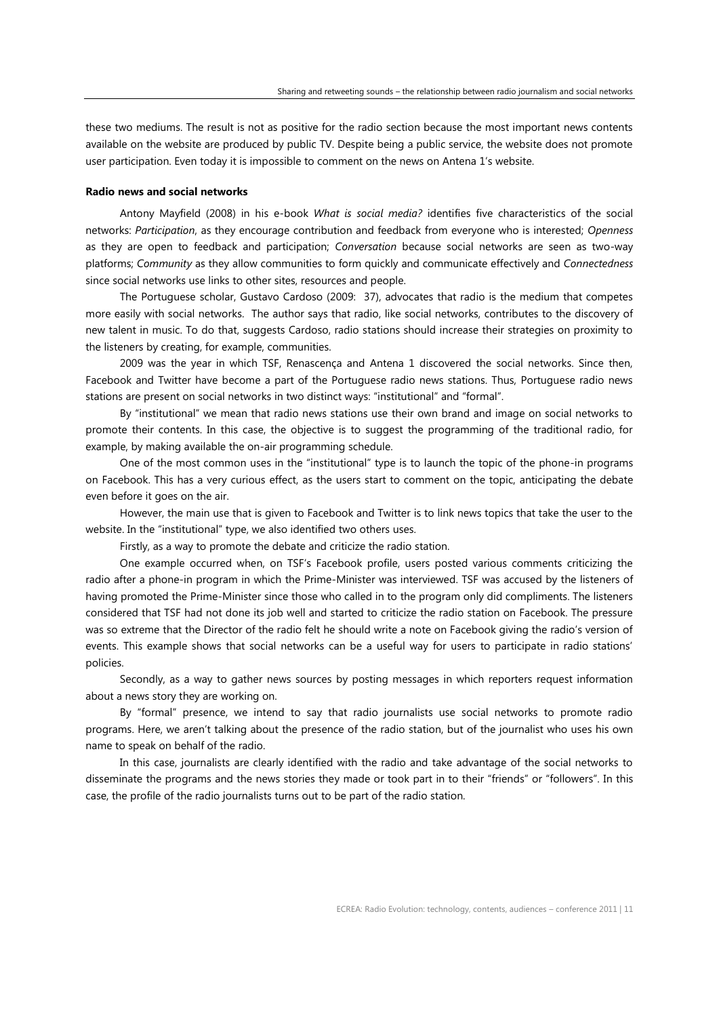these two mediums. The result is not as positive for the radio section because the most important news contents available on the website are produced by public TV. Despite being a public service, the website does not promote user participation. Even today it is impossible to comment on the news on Antena 1's website.

# **Radio news and social networks**

Antony Mayfield (2008) in his e-book *What is social media?* identifies five characteristics of the social networks: *Participation*, as they encourage contribution and feedback from everyone who is interested; *Openness* as they are open to feedback and participation; *Conversation* because social networks are seen as two-way platforms; *Community* as they allow communities to form quickly and communicate effectively and *Connectedness* since social networks use links to other sites, resources and people.

The Portuguese scholar, Gustavo Cardoso (2009: 37), advocates that radio is the medium that competes more easily with social networks. The author says that radio, like social networks, contributes to the discovery of new talent in music. To do that, suggests Cardoso, radio stations should increase their strategies on proximity to the listeners by creating, for example, communities.

2009 was the year in which TSF, Renascença and Antena 1 discovered the social networks. Since then, Facebook and Twitter have become a part of the Portuguese radio news stations. Thus, Portuguese radio news stations are present on social networks in two distinct ways: "institutional" and "formal".

By "institutional" we mean that radio news stations use their own brand and image on social networks to promote their contents. In this case, the objective is to suggest the programming of the traditional radio, for example, by making available the on-air programming schedule.

One of the most common uses in the "institutional" type is to launch the topic of the phone-in programs on Facebook. This has a very curious effect, as the users start to comment on the topic, anticipating the debate even before it goes on the air.

However, the main use that is given to Facebook and Twitter is to link news topics that take the user to the website. In the "institutional" type, we also identified two others uses.

Firstly, as a way to promote the debate and criticize the radio station.

One example occurred when, on TSF's Facebook profile, users posted various comments criticizing the radio after a phone-in program in which the Prime-Minister was interviewed. TSF was accused by the listeners of having promoted the Prime-Minister since those who called in to the program only did compliments. The listeners considered that TSF had not done its job well and started to criticize the radio station on Facebook. The pressure was so extreme that the Director of the radio felt he should write a note on Facebook giving the radio's version of events. This example shows that social networks can be a useful way for users to participate in radio stations' policies.

Secondly, as a way to gather news sources by posting messages in which reporters request information about a news story they are working on.

By "formal" presence, we intend to say that radio journalists use social networks to promote radio programs. Here, we aren't talking about the presence of the radio station, but of the journalist who uses his own name to speak on behalf of the radio.

In this case, journalists are clearly identified with the radio and take advantage of the social networks to disseminate the programs and the news stories they made or took part in to their "friends" or "followers". In this case, the profile of the radio journalists turns out to be part of the radio station.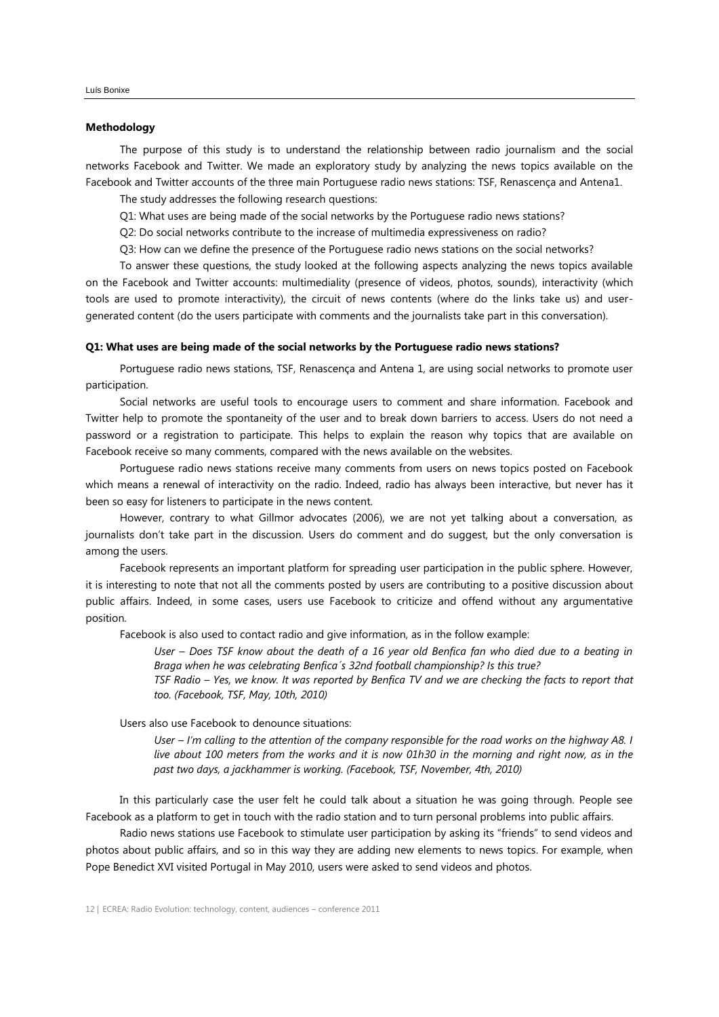#### **Methodology**

The purpose of this study is to understand the relationship between radio journalism and the social networks Facebook and Twitter. We made an exploratory study by analyzing the news topics available on the Facebook and Twitter accounts of the three main Portuguese radio news stations: TSF, Renascença and Antena1.

The study addresses the following research questions:

Q1: What uses are being made of the social networks by the Portuguese radio news stations?

Q2: Do social networks contribute to the increase of multimedia expressiveness on radio?

Q3: How can we define the presence of the Portuguese radio news stations on the social networks?

To answer these questions, the study looked at the following aspects analyzing the news topics available on the Facebook and Twitter accounts: multimediality (presence of videos, photos, sounds), interactivity (which tools are used to promote interactivity), the circuit of news contents (where do the links take us) and usergenerated content (do the users participate with comments and the journalists take part in this conversation).

#### **Q1: What uses are being made of the social networks by the Portuguese radio news stations?**

Portuguese radio news stations, TSF, Renascença and Antena 1, are using social networks to promote user participation.

Social networks are useful tools to encourage users to comment and share information. Facebook and Twitter help to promote the spontaneity of the user and to break down barriers to access. Users do not need a password or a registration to participate. This helps to explain the reason why topics that are available on Facebook receive so many comments, compared with the news available on the websites.

Portuguese radio news stations receive many comments from users on news topics posted on Facebook which means a renewal of interactivity on the radio. Indeed, radio has always been interactive, but never has it been so easy for listeners to participate in the news content.

However, contrary to what Gillmor advocates (2006), we are not yet talking about a conversation, as journalists don't take part in the discussion. Users do comment and do suggest, but the only conversation is among the users.

Facebook represents an important platform for spreading user participation in the public sphere. However, it is interesting to note that not all the comments posted by users are contributing to a positive discussion about public affairs. Indeed, in some cases, users use Facebook to criticize and offend without any argumentative position.

Facebook is also used to contact radio and give information, as in the follow example:

*User – Does TSF know about the death of a 16 year old Benfica fan who died due to a beating in Braga when he was celebrating Benfica´s 32nd football championship? Is this true?*

*TSF Radio – Yes, we know. It was reported by Benfica TV and we are checking the facts to report that too. (Facebook, TSF, May, 10th, 2010)*

Users also use Facebook to denounce situations:

*User – I'm calling to the attention of the company responsible for the road works on the highway A8. I live about 100 meters from the works and it is now 01h30 in the morning and right now, as in the past two days, a jackhammer is working. (Facebook, TSF, November, 4th, 2010)*

In this particularly case the user felt he could talk about a situation he was going through. People see Facebook as a platform to get in touch with the radio station and to turn personal problems into public affairs.

Radio news stations use Facebook to stimulate user participation by asking its "friends" to send videos and photos about public affairs, and so in this way they are adding new elements to news topics. For example, when Pope Benedict XVI visited Portugal in May 2010, users were asked to send videos and photos.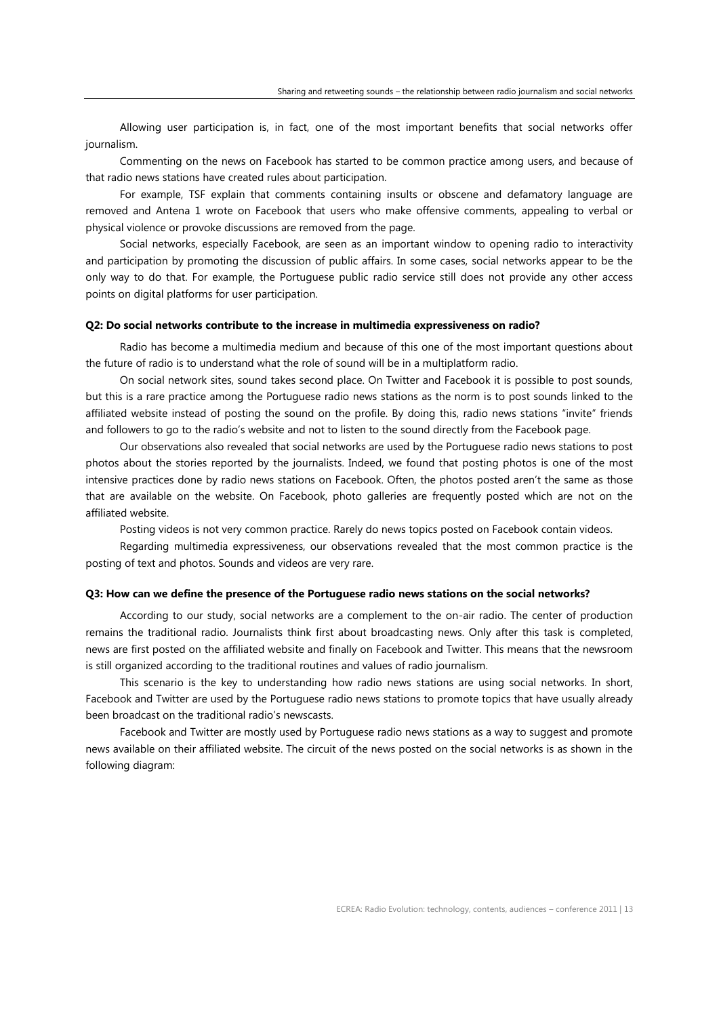Allowing user participation is, in fact, one of the most important benefits that social networks offer journalism.

Commenting on the news on Facebook has started to be common practice among users, and because of that radio news stations have created rules about participation.

For example, TSF explain that comments containing insults or obscene and defamatory language are removed and Antena 1 wrote on Facebook that users who make offensive comments, appealing to verbal or physical violence or provoke discussions are removed from the page.

Social networks, especially Facebook, are seen as an important window to opening radio to interactivity and participation by promoting the discussion of public affairs. In some cases, social networks appear to be the only way to do that. For example, the Portuguese public radio service still does not provide any other access points on digital platforms for user participation.

#### **Q2: Do social networks contribute to the increase in multimedia expressiveness on radio?**

Radio has become a multimedia medium and because of this one of the most important questions about the future of radio is to understand what the role of sound will be in a multiplatform radio.

On social network sites, sound takes second place. On Twitter and Facebook it is possible to post sounds, but this is a rare practice among the Portuguese radio news stations as the norm is to post sounds linked to the affiliated website instead of posting the sound on the profile. By doing this, radio news stations "invite" friends and followers to go to the radio's website and not to listen to the sound directly from the Facebook page.

Our observations also revealed that social networks are used by the Portuguese radio news stations to post photos about the stories reported by the journalists. Indeed, we found that posting photos is one of the most intensive practices done by radio news stations on Facebook. Often, the photos posted aren't the same as those that are available on the website. On Facebook, photo galleries are frequently posted which are not on the affiliated website.

Posting videos is not very common practice. Rarely do news topics posted on Facebook contain videos.

Regarding multimedia expressiveness, our observations revealed that the most common practice is the posting of text and photos. Sounds and videos are very rare.

#### **Q3: How can we define the presence of the Portuguese radio news stations on the social networks?**

According to our study, social networks are a complement to the on-air radio. The center of production remains the traditional radio. Journalists think first about broadcasting news. Only after this task is completed, news are first posted on the affiliated website and finally on Facebook and Twitter. This means that the newsroom is still organized according to the traditional routines and values of radio journalism.

This scenario is the key to understanding how radio news stations are using social networks. In short, Facebook and Twitter are used by the Portuguese radio news stations to promote topics that have usually already been broadcast on the traditional radio's newscasts.

Facebook and Twitter are mostly used by Portuguese radio news stations as a way to suggest and promote news available on their affiliated website. The circuit of the news posted on the social networks is as shown in the following diagram: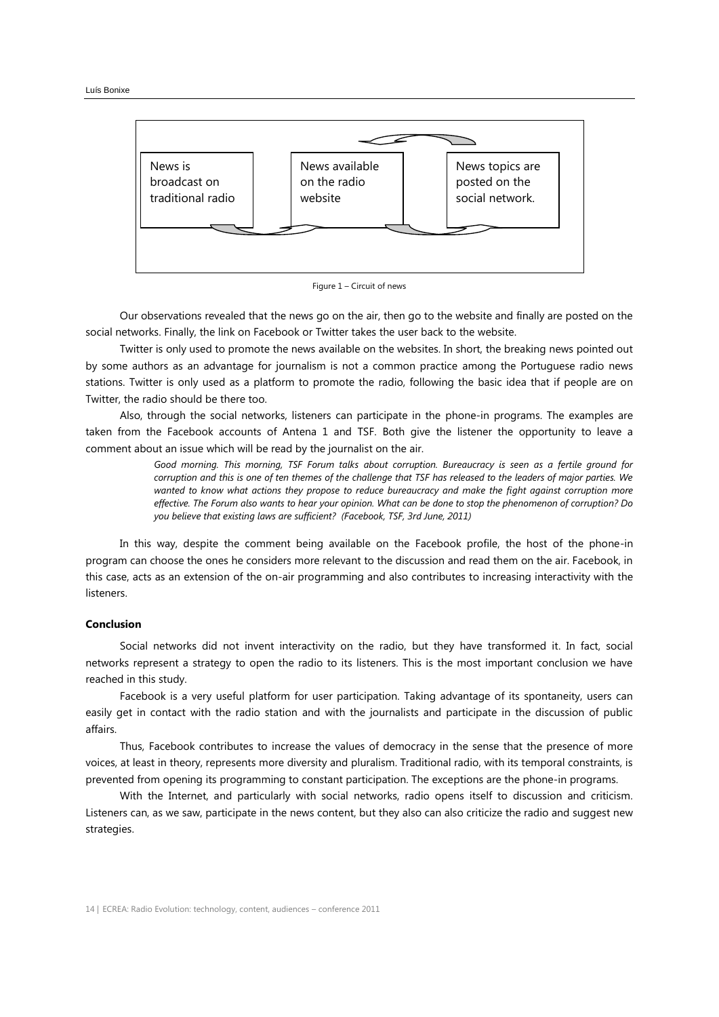

Figure 1 – Circuit of news

Our observations revealed that the news go on the air, then go to the website and finally are posted on the social networks. Finally, the link on Facebook or Twitter takes the user back to the website.

Twitter is only used to promote the news available on the websites. In short, the breaking news pointed out by some authors as an advantage for journalism is not a common practice among the Portuguese radio news stations. Twitter is only used as a platform to promote the radio, following the basic idea that if people are on Twitter, the radio should be there too.

Also, through the social networks, listeners can participate in the phone-in programs. The examples are taken from the Facebook accounts of Antena 1 and TSF. Both give the listener the opportunity to leave a comment about an issue which will be read by the journalist on the air.

> *Good morning. This morning, TSF Forum talks about corruption. Bureaucracy is seen as a fertile ground for corruption and this is one of ten themes of the challenge that TSF has released to the leaders of major parties. We wanted to know what actions they propose to reduce bureaucracy and make the fight against corruption more effective. The Forum also wants to hear your opinion. What can be done to stop the phenomenon of corruption? Do you believe that existing laws are sufficient? (Facebook, TSF, 3rd June, 2011)*

In this way, despite the comment being available on the Facebook profile, the host of the phone-in program can choose the ones he considers more relevant to the discussion and read them on the air. Facebook, in this case, acts as an extension of the on-air programming and also contributes to increasing interactivity with the listeners.

### **Conclusion**

Social networks did not invent interactivity on the radio, but they have transformed it. In fact, social networks represent a strategy to open the radio to its listeners. This is the most important conclusion we have reached in this study.

Facebook is a very useful platform for user participation. Taking advantage of its spontaneity, users can easily get in contact with the radio station and with the journalists and participate in the discussion of public affairs.

Thus, Facebook contributes to increase the values of democracy in the sense that the presence of more voices, at least in theory, represents more diversity and pluralism. Traditional radio, with its temporal constraints, is prevented from opening its programming to constant participation. The exceptions are the phone-in programs.

With the Internet, and particularly with social networks, radio opens itself to discussion and criticism. Listeners can, as we saw, participate in the news content, but they also can also criticize the radio and suggest new strategies.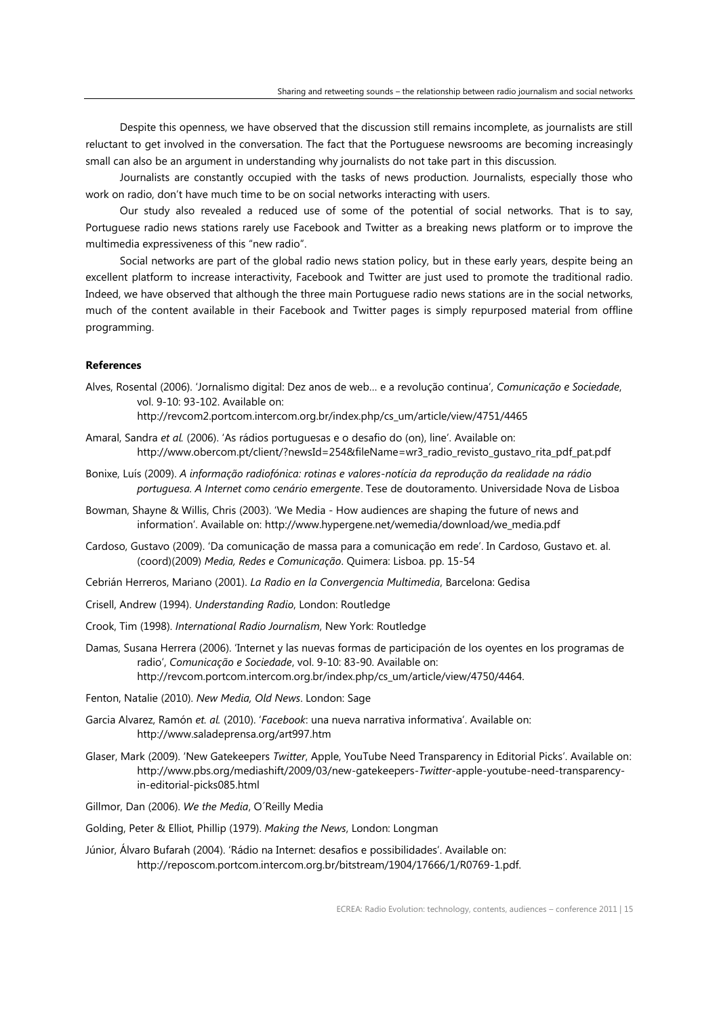Despite this openness, we have observed that the discussion still remains incomplete, as journalists are still reluctant to get involved in the conversation. The fact that the Portuguese newsrooms are becoming increasingly small can also be an argument in understanding why journalists do not take part in this discussion.

Journalists are constantly occupied with the tasks of news production. Journalists, especially those who work on radio, don't have much time to be on social networks interacting with users.

Our study also revealed a reduced use of some of the potential of social networks. That is to say, Portuguese radio news stations rarely use Facebook and Twitter as a breaking news platform or to improve the multimedia expressiveness of this "new radio".

Social networks are part of the global radio news station policy, but in these early years, despite being an excellent platform to increase interactivity, Facebook and Twitter are just used to promote the traditional radio. Indeed, we have observed that although the three main Portuguese radio news stations are in the social networks, much of the content available in their Facebook and Twitter pages is simply repurposed material from offline programming.

## **References**

Alves, Rosental (2006). 'Jornalismo digital: Dez anos de web… e a revolução continua', *Comunicação e Sociedade*, vol. 9-10: 93-102. Available on:

http://revcom2.portcom.intercom.org.br/index.php/cs\_um/article/view/4751/4465

- Amaral, Sandra *et al.* (2006). 'As rádios portuguesas e o desafio do (on), line'. Available on: http://www.obercom.pt/client/?newsId=254&fileName=wr3\_radio\_revisto\_gustavo\_rita\_pdf\_pat.pdf
- Bonixe, Luís (2009). *A informação radiofónica: rotinas e valores-notícia da reprodução da realidade na rádio portuguesa. A Internet como cenário emergente*. Tese de doutoramento. Universidade Nova de Lisboa
- Bowman, Shayne & Willis, Chris (2003). 'We Media How audiences are shaping the future of news and information'. Available on: http://www.hypergene.net/wemedia/download/we\_media.pdf
- Cardoso, Gustavo (2009). 'Da comunicação de massa para a comunicação em rede'. In Cardoso, Gustavo et. al. (coord)(2009) *Media, Redes e Comunicação*. Quimera: Lisboa. pp. 15-54
- Cebrián Herreros, Mariano (2001). *La Radio en la Convergencia Multimedia*, Barcelona: Gedisa
- Crisell, Andrew (1994). *Understanding Radio*, London: Routledge
- Crook, Tim (1998). *International Radio Journalism*, New York: Routledge
- Damas, Susana Herrera (2006). 'Internet y las nuevas formas de participación de los oyentes en los programas de radio', *Comunicação e Sociedade*, vol. 9-10: 83-90. Available on: http://revcom.portcom.intercom.org.br/index.php/cs\_um/article/view/4750/4464.

Fenton, Natalie (2010). *New Media, Old News*. London: Sage

- Garcia Alvarez, Ramón *et. al.* (2010). '*Facebook*: una nueva narrativa informativa'. Available on: http://www.saladeprensa.org/art997.htm
- Glaser, Mark (2009). 'New Gatekeepers *Twitter*, Apple, YouTube Need Transparency in Editorial Picks'. Available on: http://www.pbs.org/mediashift/2009/03/new-gatekeepers-*Twitter*-apple-youtube-need-transparencyin-editorial-picks085.html

Gillmor, Dan (2006). *We the Media*, O´Reilly Media

Golding, Peter & Elliot, Phillip (1979). *Making the News*, London: Longman

Júnior, Álvaro Bufarah (2004). 'Rádio na Internet: desafios e possibilidades'. Available on: http://reposcom.portcom.intercom.org.br/bitstream/1904/17666/1/R0769-1.pdf.